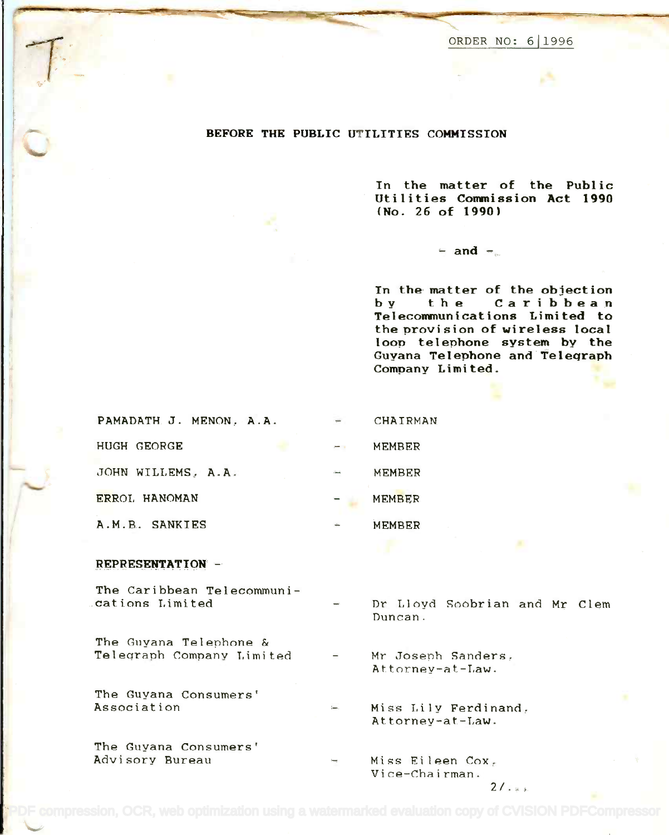ORDER NO: 611996 ORDER NO: 611996

#### BEFORE THE PUBLIC UTILITIES COMMISSION

In the matter of the Public In the matter of the Publ ic Utilities Commission Act 1990 Utilities Conwnission Act 1990 (No. 26 of 1990) (No. 26 0f 1990 )

 $-$  and  $-$ 

In the matter of the objection In the matter of the objection by t h e Caribbean by the Caribbean Telecommunications Limited to Telecommun icat ions Limi ted to the provision of wireless local the provision of wireless local loop telephone system by the loop telephone system by the Guyana Telephone and Telegraph Guyana Telephone and Teleqraph Company Limited. Company Limited.

| PAMADATH. J. MENON. A.A. | $\frac{1}{2}$    | CHAIRMAN |
|--------------------------|------------------|----------|
| HUGH GEORGE              | $\rightarrow -0$ | MEMBER   |
| JOHN WILLEMS, A.A.       | بتستاء           | MEMBER   |
| ERROL HANOMAN            |                  | MEMBER   |
| A.M.B. SANKIES           |                  | MEMBER   |

## REPRESENTATION -

 $\mathcal{T}$ 

 $\sqrt{2}$ t..'

'r' .~

> The Caribbean Telecommuni-The Caribbean Telecommuni cations Limited .cations Limi ted

The Guyana Telephone & The Guyana Telephone & Telegraph Company Limited Teleqraph Company Limit.ed

The Guyana Consumers' The Guyana Consumers' Association Association

The Guyana Consumers' The Guyana Consumers' Advisory Bureau Advisory Bureau

- Dr Lloyd Soobrian and Mr Clem Dr Lloyd Soobrian and Mr Clem Duncan. Duncan.
- Mr Joseph Sanders. Mr Josenh Sanders~ Attorney-at-Law.

Miss Lily Ferdinand. Miss Lily Ferdinand~ Attorney-at-Law. Attorney-at-Law.

Miss Eileen Cox $_\varepsilon$ Vice-Chairman.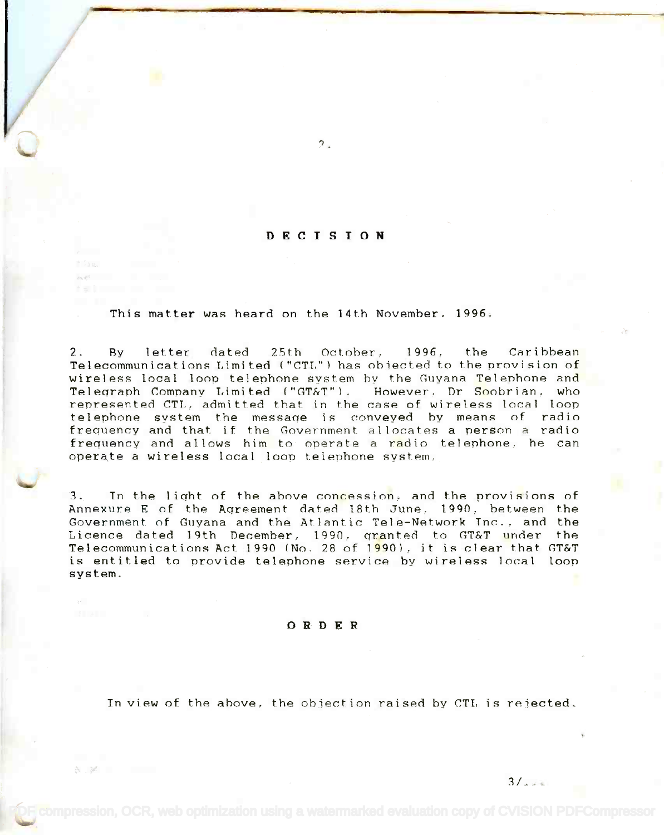## DECISION

 $\overline{P}_{\alpha}$ 

This matter was heard on the 14th November. 1996.

2. By letter dated 25th October, 1996. the Caribbean 2. By letter dated 25th October, 1996, the Caribbean Telecommunications Limited ("CTL") has objected to the provision of wireless local loop telephone system by the Guyana Telephone and wireless local loop telephone system by the Guyana Telephone and Telegraph Company Limited ("GT&T"). However, Dr <mark>So</mark>obrian, who represented CTL, admitted that in the case of wireless local loop represented CTL, admitted that in the case of wireless local loop telephone system the message is conveyed by means of radio telephone system the messaqe is conveyed by means of radio frequency and that if the Government allocates a person a radio frequency and that if the Government allocates a nerson a radio frequency and allows him to operate a <mark>ra</mark>dio telephone, he can operate a wireless local loop telephone system. operate a wireless local loop telephone system.

3. In the light of the above concession, and the provisions of 3. In the liqht of the above concession, and the provisions of Annexure E of the Agreement dated 18th June, 1990, between the Government of Guyana and the Atlantic Tele-Network Inc., and the Government of Guyana and the Atlantic Tele-Network Inc., and the Licence dated 19th December, 1990, granted to GT&T under the Telecommunications Act 1990 (No. 28 of 19901, it is clear that GT&T Telecomnunications Act 1990 (No. 28 of 1990), it is clear that GT&T is entitled to provide telephone service by wireless local loop is entitled to provide telephone service by wireless Incal loop system. system.

#### ORDER

A M

In view of the above, the objection raised by CTL is rejected.

 $3/\sqrt{2}$